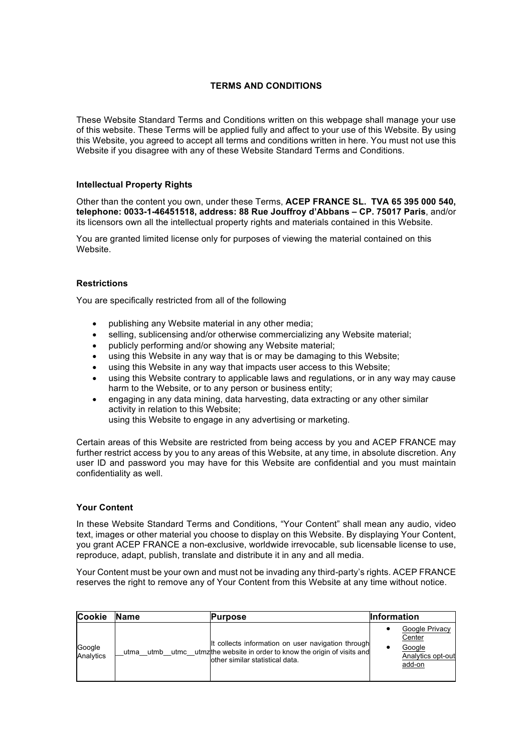# **TERMS AND CONDITIONS**

These Website Standard Terms and Conditions written on this webpage shall manage your use of this website. These Terms will be applied fully and affect to your use of this Website. By using this Website, you agreed to accept all terms and conditions written in here. You must not use this Website if you disagree with any of these Website Standard Terms and Conditions.

## **Intellectual Property Rights**

Other than the content you own, under these Terms, **ACEP FRANCE SL. TVA 65 395 000 540, telephone: 0033-1-46451518, address: 88 Rue Jouffroy d'Abbans – CP. 75017 Paris**, and/or its licensors own all the intellectual property rights and materials contained in this Website.

You are granted limited license only for purposes of viewing the material contained on this Website.

#### **Restrictions**

You are specifically restricted from all of the following

- publishing any Website material in any other media;
- selling, sublicensing and/or otherwise commercializing any Website material;
- publicly performing and/or showing any Website material;
- using this Website in any way that is or may be damaging to this Website;
- using this Website in any way that impacts user access to this Website;
- using this Website contrary to applicable laws and regulations, or in any way may cause harm to the Website, or to any person or business entity;
- engaging in any data mining, data harvesting, data extracting or any other similar activity in relation to this Website;

using this Website to engage in any advertising or marketing.

Certain areas of this Website are restricted from being access by you and ACEP FRANCE may further restrict access by you to any areas of this Website, at any time, in absolute discretion. Any user ID and password you may have for this Website are confidential and you must maintain confidentiality as well.

#### **Your Content**

In these Website Standard Terms and Conditions, "Your Content" shall mean any audio, video text, images or other material you choose to display on this Website. By displaying Your Content, you grant ACEP FRANCE a non-exclusive, worldwide irrevocable, sub licensable license to use, reproduce, adapt, publish, translate and distribute it in any and all media.

Your Content must be your own and must not be invading any third-party's rights. ACEP FRANCE reserves the right to remove any of Your Content from this Website at any time without notice.

| <b>Cookie</b>       | <b>Name</b>          | Purpose                                                                                                                                            | <b>Information</b>                                                |
|---------------------|----------------------|----------------------------------------------------------------------------------------------------------------------------------------------------|-------------------------------------------------------------------|
| Google<br>Analytics | utmc<br>utmb<br>utma | It collects information on user navigation through<br>utmzthe website in order to know the origin of visits and<br>other similar statistical data. | Google Privacy<br>Center<br>Google<br>Analytics opt-out<br>add-on |